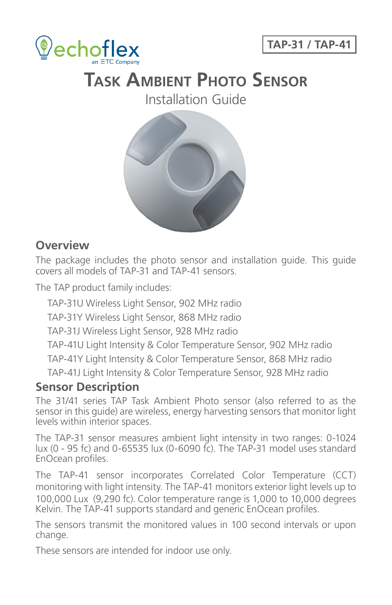



# **Task Ambient Photo Sensor**

Installation Guide



#### **Overview**

The package includes the photo sensor and installation guide. This guide covers all models of TAP-31 and TAP-41 sensors.

The TAP product family includes:

TAP-31U Wireless Light Sensor, 902 MHz radio TAP-31Y Wireless Light Sensor, 868 MHz radio TAP-31J Wireless Light Sensor, 928 MHz radio TAP-41U Light Intensity & Color Temperature Sensor, 902 MHz radio TAP-41Y Light Intensity & Color Temperature Sensor, 868 MHz radio TAP-41J Light Intensity & Color Temperature Sensor, 928 MHz radio

#### **Sensor Description**

The 31/41 series TAP Task Ambient Photo sensor (also referred to as the sensor in this guide) are wireless, energy harvesting sensors that monitor light levels within interior spaces.

The TAP-31 sensor measures ambient light intensity in two ranges: 0-1024 lux (0 - 95 fc) and 0-65535 lux (0-6090 fc). The TAP-31 model uses standard EnOcean profiles.

The TAP-41 sensor incorporates Correlated Color Temperature (CCT) monitoring with light intensity. The TAP-41 monitors exterior light levels up to 100,000 Lux (9,290 fc). Color temperature range is 1,000 to 10,000 degrees Kelvin. The TAP-41 supports standard and generic EnOcean profiles.

The sensors transmit the monitored values in 100 second intervals or upon change.

These sensors are intended for indoor use only.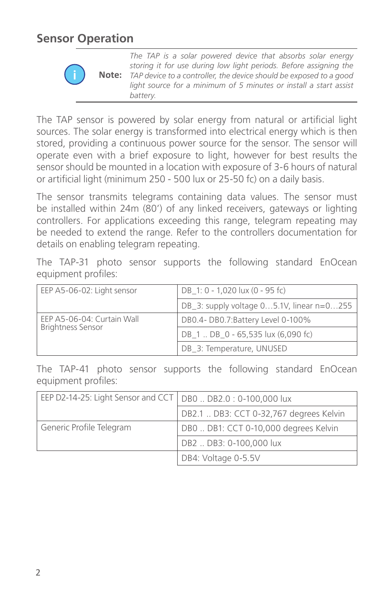### **Sensor Operation**



**i Note:** *The TAP is a solar powered device that absorbs solar energy storing it for use during low light periods. Before assigning the TAP device to a controller, the device should be exposed to a good light source for a minimum of 5 minutes or install a start assist battery*.

The TAP sensor is powered by solar energy from natural or artificial light sources. The solar energy is transformed into electrical energy which is then stored, providing a continuous power source for the sensor. The sensor will operate even with a brief exposure to light, however for best results the sensor should be mounted in a location with exposure of 3-6 hours of natural or artificial light (minimum 250 - 500 lux or 25-50 fc) on a daily basis.

The sensor transmits telegrams containing data values. The sensor must be installed within 24m (80') of any linked receivers, gateways or lighting controllers. For applications exceeding this range, telegram repeating may be needed to extend the range. Refer to the controllers documentation for details on enabling telegram repeating.

The TAP-31 photo sensor supports the following standard EnOcean equipment profiles:

| EEP A5-06-02: Light sensor                             | DB 1: 0 - 1,020 lux (0 - 95 fc)           |  |
|--------------------------------------------------------|-------------------------------------------|--|
|                                                        | DB_3: supply voltage 05.1V, linear n=0255 |  |
| EEP A5-06-04: Curtain Wall<br><b>Brightness Sensor</b> | DB0.4-DB0.7:Battery Level 0-100%          |  |
|                                                        | DB 1  DB 0 - 65,535 lux (6,090 fc)        |  |
|                                                        | DB_3: Temperature, UNUSED                 |  |

The TAP-41 photo sensor supports the following standard EnOcean equipment profiles:

| EEP D2-14-25: Light Sensor and CCT   DB0  DB2.0: 0-100,000 lux |                                         |  |
|----------------------------------------------------------------|-----------------------------------------|--|
|                                                                | DB2.1  DB3: CCT 0-32,767 degrees Kelvin |  |
| Generic Profile Telegram                                       | DB0  DB1: CCT 0-10,000 degrees Kelvin   |  |
|                                                                | DB2  DB3: 0-100,000 lux                 |  |
|                                                                | DB4: Voltage 0-5.5V                     |  |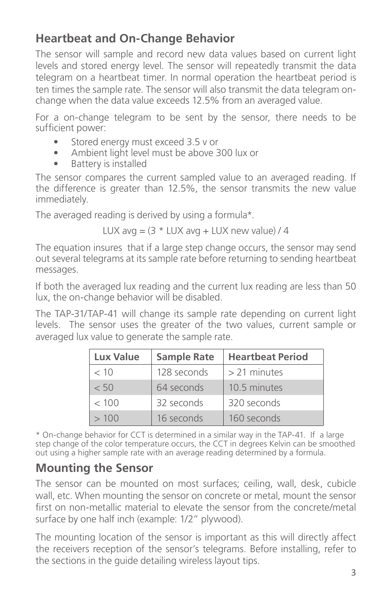### **Heartbeat and On-Change Behavior**

The sensor will sample and record new data values based on current light levels and stored energy level. The sensor will repeatedly transmit the data telegram on a heartbeat timer. In normal operation the heartbeat period is ten times the sample rate. The sensor will also transmit the data telegram onchange when the data value exceeds 12.5% from an averaged value.

For a on-change telegram to be sent by the sensor, there needs to be sufficient power:

- Stored energy must exceed 3.5 v or
- Ambient light level must be above 300 lux or
- Battery is installed

The sensor compares the current sampled value to an averaged reading. If the difference is greater than 12.5%, the sensor transmits the new value immediately.

The averaged reading is derived by using a formula\*.

$$
LUX \text{ avg} = (3 * LUX \text{ avg} + LUX \text{ new value}) / 4
$$

The equation insures that if a large step change occurs, the sensor may send out several telegrams at its sample rate before returning to sending heartbeat messages.

If both the averaged lux reading and the current lux reading are less than 50 lux, the on-change behavior will be disabled.

The TAP-31/TAP-41 will change its sample rate depending on current light levels. The sensor uses the greater of the two values, current sample or averaged lux value to generate the sample rate.

| <b>Lux Value</b> | <b>Sample Rate</b> | <b>Heartbeat Period</b> |
|------------------|--------------------|-------------------------|
| < 10             | 128 seconds        | $>$ 21 minutes          |
| < 50             | 64 seconds         | 10.5 minutes            |
| < 100            | 32 seconds         | 320 seconds             |
| >100             | 16 seconds         | 160 seconds             |

\* On-change behavior for CCT is determined in a similar way in the TAP-41. If a large step change of the color temperature occurs, the CCT in degrees Kelvin can be smoothed out using a higher sample rate with an average reading determined by a formula.

## **Mounting the Sensor**

The sensor can be mounted on most surfaces; ceiling, wall, desk, cubicle wall, etc. When mounting the sensor on concrete or metal, mount the sensor first on non-metallic material to elevate the sensor from the concrete/metal surface by one half inch (example: 1/2" plywood).

The mounting location of the sensor is important as this will directly affect the receivers reception of the sensor's telegrams. Before installing, refer to the sections in the guide detailing wireless layout tips.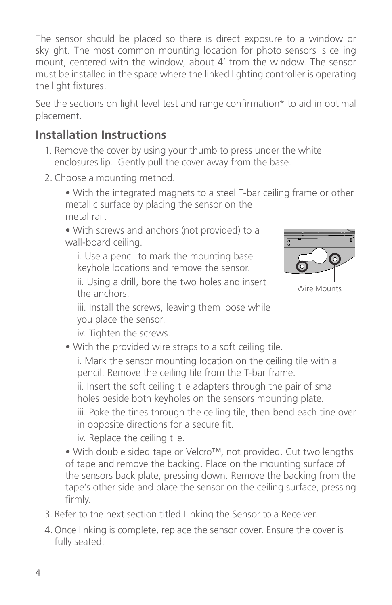The sensor should be placed so there is direct exposure to a window or skylight. The most common mounting location for photo sensors is ceiling mount, centered with the window, about 4' from the window. The sensor must be installed in the space where the linked lighting controller is operating the light fixtures.

See the sections on light level test and range confirmation\* to aid in optimal placement.

### **Installation Instructions**

- 1. Remove the cover by using your thumb to press under the white enclosures lip. Gently pull the cover away from the base.
- 2. Choose a mounting method.

• With the integrated magnets to a steel T-bar ceiling frame or other metallic surface by placing the sensor on the metal rail.

• With screws and anchors (not provided) to a wall-board ceiling.

i. Use a pencil to mark the mounting base keyhole locations and remove the sensor.

ii. Using a drill, bore the two holes and insert the anchors.



iii. Install the screws, leaving them loose while you place the sensor.

iv. Tighten the screws.

• With the provided wire straps to a soft ceiling tile.

i. Mark the sensor mounting location on the ceiling tile with a pencil. Remove the ceiling tile from the T-bar frame.

ii. Insert the soft ceiling tile adapters through the pair of small holes beside both keyholes on the sensors mounting plate.

iii. Poke the tines through the ceiling tile, then bend each tine over in opposite directions for a secure fit.

iv. Replace the ceiling tile.

• With double sided tape or Velcro™, not provided. Cut two lengths of tape and remove the backing. Place on the mounting surface of the sensors back plate, pressing down. Remove the backing from the tape's other side and place the sensor on the ceiling surface, pressing firmly.

- 3. Refer to the next section titled Linking the Sensor to a Receiver.
- 4. Once linking is complete, replace the sensor cover. Ensure the cover is fully seated.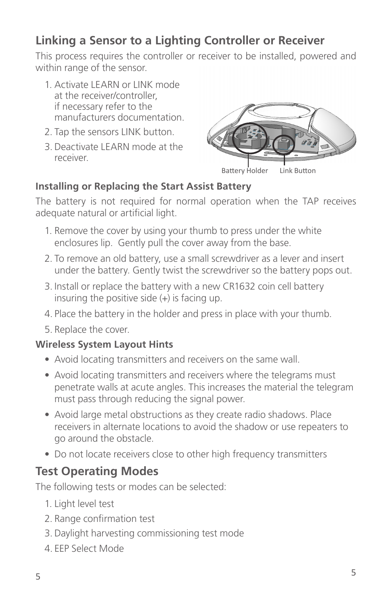### **Linking a Sensor to a Lighting Controller or Receiver**

This process requires the controller or receiver to be installed, powered and within range of the sensor.

- 1. Activate LEARN or LINK mode at the receiver/controller, if necessary refer to the manufacturers documentation.
- 2. Tap the sensors LINK button.
- 3. Deactivate LEARN mode at the receiver.



Battery Holder Link Button

#### **Installing or Replacing the Start Assist Battery**

The battery is not required for normal operation when the TAP receives adequate natural or artificial light.

- 1. Remove the cover by using your thumb to press under the white enclosures lip. Gently pull the cover away from the base.
- 2. To remove an old battery, use a small screwdriver as a lever and insert under the battery. Gently twist the screwdriver so the battery pops out.
- 3. Install or replace the battery with a new CR1632 coin cell battery insuring the positive side (+) is facing up.
- 4. Place the battery in the holder and press in place with your thumb.
- 5. Replace the cover.

#### **Wireless System Layout Hints**

- Avoid locating transmitters and receivers on the same wall.
- Avoid locating transmitters and receivers where the telegrams must penetrate walls at acute angles. This increases the material the telegram must pass through reducing the signal power.
- Avoid large metal obstructions as they create radio shadows. Place receivers in alternate locations to avoid the shadow or use repeaters to go around the obstacle.
- Do not locate receivers close to other high frequency transmitters

#### **Test Operating Modes**

The following tests or modes can be selected:

- 1. Light level test
- 2. Range confirmation test
- 3. Daylight harvesting commissioning test mode
- 4. EEP Select Mode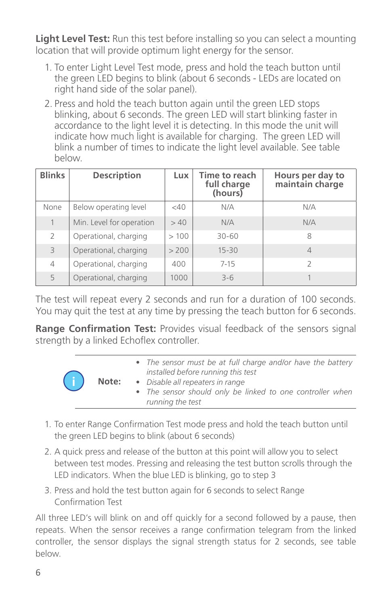**Light Level Test:** Run this test before installing so you can select a mounting location that will provide optimum light energy for the sensor.

- 1. To enter Light Level Test mode, press and hold the teach button until the green LED begins to blink (about 6 seconds - LEDs are located on right hand side of the solar panel).
- 2. Press and hold the teach button again until the green LED stops blinking, about 6 seconds. The green LED will start blinking faster in accordance to the light level it is detecting. In this mode the unit will indicate how much light is available for charging. The green LED will blink a number of times to indicate the light level available. See table below.

| <b>Blinks</b>  | <b>Description</b>       | Lux.  | Time to reach<br>full charge<br>(hours) | Hours per day to<br>maintain charge |
|----------------|--------------------------|-------|-----------------------------------------|-------------------------------------|
| None           | Below operating level    | <40   | N/A                                     | N/A                                 |
| 1              | Min. Level for operation | >40   | N/A                                     | N/A                                 |
| $\overline{2}$ | Operational, charging    | >100  | 30-60                                   | 8                                   |
| 3              | Operational, charging    | > 200 | $15 - 30$                               | $\overline{4}$                      |
| 4              | Operational, charging    | 400   | $7 - 15$                                | $\overline{\phantom{a}}$            |
| 5              | Operational, charging    | 1000  | $3 - 6$                                 |                                     |

The test will repeat every 2 seconds and run for a duration of 100 seconds. You may quit the test at any time by pressing the teach button for 6 seconds.

**Range Confirmation Test:** Provides visual feedback of the sensors signal strength by a linked Echoflex controller.

| $\left( \begin{matrix} 1 \end{matrix} \right)$ | Note: | • The sensor must be at full charge and/or have the battery<br>installed before running this test                 |
|------------------------------------------------|-------|-------------------------------------------------------------------------------------------------------------------|
|                                                |       | • Disable all repeaters in range<br>• The sensor should only be linked to one controller when<br>running the test |

- 1. To enter Range Confirmation Test mode press and hold the teach button until the green LED begins to blink (about 6 seconds)
- 2. A quick press and release of the button at this point will allow you to select between test modes. Pressing and releasing the test button scrolls through the LED indicators. When the blue LED is blinking, go to step 3
- 3. Press and hold the test button again for 6 seconds to select Range Confirmation Test

All three LED's will blink on and off quickly for a second followed by a pause, then repeats. When the sensor receives a range confirmation telegram from the linked controller, the sensor displays the signal strength status for 2 seconds, see table below.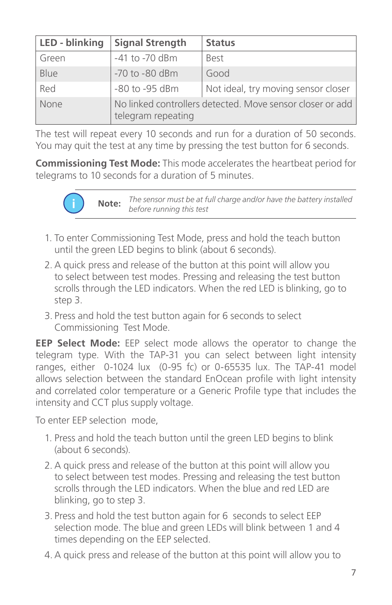| LED - blinking | <b>Signal Strength</b>                                                          | <b>Status</b>                       |  |
|----------------|---------------------------------------------------------------------------------|-------------------------------------|--|
| Green          | -41 to -70 dBm                                                                  | <b>Best</b>                         |  |
| Blue           | -70 to -80 dBm                                                                  | Good                                |  |
| Red            | -80 to -95 dBm                                                                  | Not ideal, try moving sensor closer |  |
| <b>None</b>    | No linked controllers detected. Move sensor closer or add<br>telegram repeating |                                     |  |

The test will repeat every 10 seconds and run for a duration of 50 seconds. You may quit the test at any time by pressing the test button for 6 seconds.

**Commissioning Test Mode:** This mode accelerates the heartbeat period for telegrams to 10 seconds for a duration of 5 minutes.



**i Note:** *The sensor must be at full charge and/or have the battery installed before running this test*

- 1. To enter Commissioning Test Mode, press and hold the teach button until the green LED begins to blink (about 6 seconds).
- 2. A quick press and release of the button at this point will allow you to select between test modes. Pressing and releasing the test button scrolls through the LED indicators. When the red LED is blinking, go to step 3.
- 3. Press and hold the test button again for 6 seconds to select Commissioning Test Mode.

**EEP Select Mode:** EEP select mode allows the operator to change the telegram type. With the TAP-31 you can select between light intensity ranges, either 0-1024 lux (0-95 fc) or 0-65535 lux. The TAP-41 model allows selection between the standard EnOcean profile with light intensity and correlated color temperature or a Generic Profile type that includes the intensity and CCT plus supply voltage.

To enter EEP selection mode,

- 1. Press and hold the teach button until the green LED begins to blink (about 6 seconds).
- 2. A quick press and release of the button at this point will allow you to select between test modes. Pressing and releasing the test button scrolls through the LED indicators. When the blue and red LED are blinking, go to step 3.
- 3. Press and hold the test button again for 6 seconds to select EEP selection mode. The blue and green LEDs will blink between 1 and 4 times depending on the EEP selected.
- 4. A quick press and release of the button at this point will allow you to